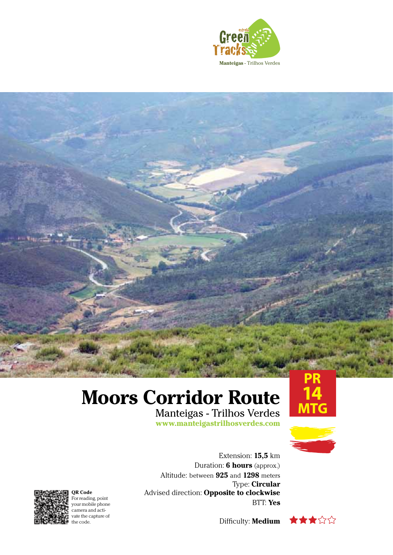

## **Moors Corridor Route**

Manteigas - Trilhos Verdes **www.manteigastrilhosverdes.com**





Extension: **15,5** km Duration: **6 hours** (approx.) Altitude: between **925** and **1298** meters Type: **Circular** Advised direction: **Opposite to clockwise** BTT: **Yes**







**QR Code** For reading, point your mobile phone camera and activate the capture of the code.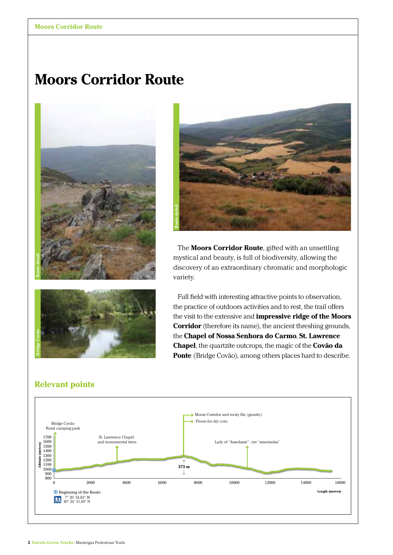## **Moors Corridor Route**

## **Moors Corridor Route**







The **Moors Corridor Route**, gifted with an unsettling mystical and beauty, is full of biodiversity, allowing the discovery of an extraordinary chromatic and morphologic variety.

Full field with interesting attractive points to observation, the practice of outdoors activities and to rest, the trail offers the visit to the extensive and **impressive ridge of the Moors Corridor** (therefore its name), the ancient threshing grounds, the **Chapel of Nossa Senhora do Carmo**, **St. Lawrence Chapel**, the quartzite outcrops, the magic of the **Covão da Ponte** (Bridge Covão), among others places hard to describe.

## **Relevant points**

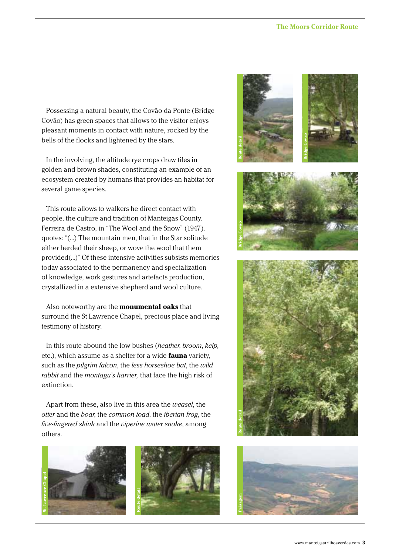Possessing a natural beauty, the Covão da Ponte (Bridge Covão) has green spaces that allows to the visitor enjoys pleasant moments in contact with nature, rocked by the bells of the flocks and lightened by the stars.

In the involving, the altitude rye crops draw tiles in golden and brown shades, constituting an example of an ecosystem created by humans that provides an habitat for several game species.

This route allows to walkers he direct contact with people, the culture and tradition of Manteigas County. Ferreira de Castro, in "The Wool and the Snow" (1947), quotes: "(...) The mountain men, that in the Star solitude either herded their sheep, or wove the wool that them provided(...)" Of these intensive activities subsists memories today associated to the permanency and specialization of knowledge, work gestures and artefacts production, crystallized in a extensive shepherd and wool culture.

Also noteworthy are the **monumental oaks** that surround the St Lawrence Chapel, precious place and living testimony of history.

In this route abound the low bushes (*heather*, *broom*, *kelp,* etc.), which assume as a shelter for a wide **fauna** variety, such as the *pilgrim falcon*, the *less horseshoe bat*, the *wild rabbit* and the *montagu's harrier,* that face the high risk of extinction.

Apart from these, also live in this area the *weasel*, the *otter* and the *boar*, the *common toad*, the *iberian frog*, the *five-fingered skink* and the *viperine water snake*, among others.